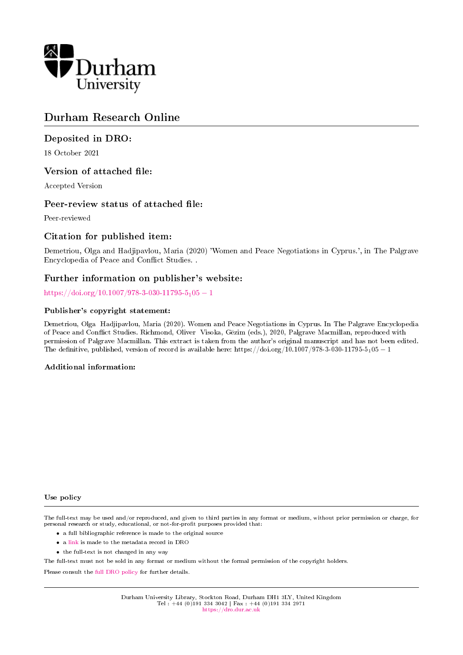

# Durham Research Online

## Deposited in DRO:

18 October 2021

## Version of attached file:

Accepted Version

## Peer-review status of attached file:

Peer-reviewed

## Citation for published item:

Demetriou, Olga and Hadjipavlou, Maria (2020) 'Women and Peace Negotiations in Cyprus.', in The Palgrave Encyclopedia of Peace and Conflict Studies. .

## Further information on publisher's website:

[https://doi.org/10.1007/978-3-030-11795-5](https://doi.org/10.1007/978-3-030-11795-5_105-1)<sub>1</sub>05 − 1

#### Publisher's copyright statement:

Demetriou, Olga Hadjipavlou, Maria (2020). Women and Peace Negotiations in Cyprus. In The Palgrave Encyclopedia of Peace and Conflict Studies. Richmond, Oliver Visoka, Gezim (eds.), 2020, Palgrave Macmillan, reproduced with permission of Palgrave Macmillan. This extract is taken from the author's original manuscript and has not been edited. The definitive, published, version of record is available here: https://doi.org/10.1007/978-3-030-11795-5105 − 1

#### Additional information:

#### Use policy

The full-text may be used and/or reproduced, and given to third parties in any format or medium, without prior permission or charge, for personal research or study, educational, or not-for-profit purposes provided that:

- a full bibliographic reference is made to the original source
- a [link](http://dro.dur.ac.uk/34212/) is made to the metadata record in DRO
- the full-text is not changed in any way

The full-text must not be sold in any format or medium without the formal permission of the copyright holders.

Please consult the [full DRO policy](https://dro.dur.ac.uk/policies/usepolicy.pdf) for further details.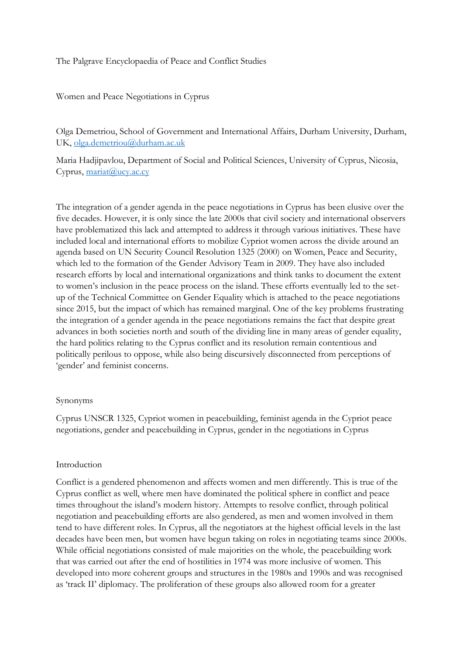The Palgrave Encyclopaedia of Peace and Conflict Studies

Women and Peace Negotiations in Cyprus

Olga Demetriou, School of Government and International Affairs, Durham University, Durham, UK, [olga.demetriou@durham.ac.uk](mailto:olga.demetriou@durham.ac.uk)

Maria Hadjipavlou, Department of Social and Political Sciences, University of Cyprus, Nicosia, Cyprus, [mariat@ucy.ac.cy](mailto:mariat@ucy.ac.cy)

The integration of a gender agenda in the peace negotiations in Cyprus has been elusive over the five decades. However, it is only since the late 2000s that civil society and international observers have problematized this lack and attempted to address it through various initiatives. These have included local and international efforts to mobilize Cypriot women across the divide around an agenda based on UN Security Council Resolution 1325 (2000) on Women, Peace and Security, which led to the formation of the Gender Advisory Team in 2009. They have also included research efforts by local and international organizations and think tanks to document the extent to women's inclusion in the peace process on the island. These efforts eventually led to the setup of the Technical Committee on Gender Equality which is attached to the peace negotiations since 2015, but the impact of which has remained marginal. One of the key problems frustrating the integration of a gender agenda in the peace negotiations remains the fact that despite great advances in both societies north and south of the dividing line in many areas of gender equality, the hard politics relating to the Cyprus conflict and its resolution remain contentious and politically perilous to oppose, while also being discursively disconnected from perceptions of 'gender' and feminist concerns.

#### Synonyms

Cyprus UNSCR 1325, Cypriot women in peacebuilding, feminist agenda in the Cypriot peace negotiations, gender and peacebuilding in Cyprus, gender in the negotiations in Cyprus

#### Introduction

Conflict is a gendered phenomenon and affects women and men differently. This is true of the Cyprus conflict as well, where men have dominated the political sphere in conflict and peace times throughout the island's modern history. Attempts to resolve conflict, through political negotiation and peacebuilding efforts are also gendered, as men and women involved in them tend to have different roles. In Cyprus, all the negotiators at the highest official levels in the last decades have been men, but women have begun taking on roles in negotiating teams since 2000s. While official negotiations consisted of male majorities on the whole, the peacebuilding work that was carried out after the end of hostilities in 1974 was more inclusive of women. This developed into more coherent groups and structures in the 1980s and 1990s and was recognised as 'track II' diplomacy. The proliferation of these groups also allowed room for a greater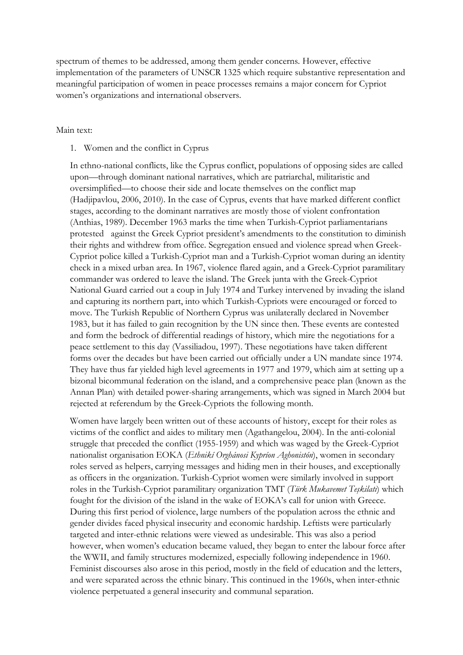spectrum of themes to be addressed, among them gender concerns. However, effective implementation of the parameters of UNSCR 1325 which require substantive representation and meaningful participation of women in peace processes remains a major concern for Cypriot women's organizations and international observers.

#### Main text:

#### 1. Women and the conflict in Cyprus

In ethno-national conflicts, like the Cyprus conflict, populations of opposing sides are called upon—through dominant national narratives, which are patriarchal, militaristic and oversimplified—to choose their side and locate themselves on the conflict map (Hadjipavlou, 2006, 2010). In the case of Cyprus, events that have marked different conflict stages, according to the dominant narratives are mostly those of violent confrontation (Anthias, 1989). December 1963 marks the time when Turkish-Cypriot parliamentarians protested against the Greek Cypriot president's amendments to the constitution to diminish their rights and withdrew from office. Segregation ensued and violence spread when Greek-Cypriot police killed a Turkish-Cypriot man and a Turkish-Cypriot woman during an identity check in a mixed urban area. In 1967, violence flared again, and a Greek-Cypriot paramilitary commander was ordered to leave the island. The Greek junta with the Greek-Cypriot National Guard carried out a coup in July 1974 and Turkey intervened by invading the island and capturing its northern part, into which Turkish-Cypriots were encouraged or forced to move. The Turkish Republic of Northern Cyprus was unilaterally declared in November 1983, but it has failed to gain recognition by the UN since then. These events are contested and form the bedrock of differential readings of history, which mire the negotiations for a peace settlement to this day (Vassiliadou, 1997). These negotiations have taken different forms over the decades but have been carried out officially under a UN mandate since 1974. They have thus far yielded high level agreements in 1977 and 1979, which aim at setting up a bizonal bicommunal federation on the island, and a comprehensive peace plan (known as the Annan Plan) with detailed power-sharing arrangements, which was signed in March 2004 but rejected at referendum by the Greek-Cypriots the following month.

Women have largely been written out of these accounts of history, except for their roles as victims of the conflict and aides to military men (Agathangelou, 2004). In the anti-colonial struggle that preceded the conflict (1955-1959) and which was waged by the Greek-Cypriot nationalist organisation EOKA (*Ethnikí Orghánosi Kypríon Aghonistón*), women in secondary roles served as helpers, carrying messages and hiding men in their houses, and exceptionally as officers in the organization. Turkish-Cypriot women were similarly involved in support roles in the Turkish-Cypriot paramilitary organization TMT (*Türk Mukavemet Teşkilatı*) which fought for the division of the island in the wake of EOKA's call for union with Greece. During this first period of violence, large numbers of the population across the ethnic and gender divides faced physical insecurity and economic hardship. Leftists were particularly targeted and inter-ethnic relations were viewed as undesirable. This was also a period however, when women's education became valued, they began to enter the labour force after the WWII, and family structures modernized, especially following independence in 1960. Feminist discourses also arose in this period, mostly in the field of education and the letters, and were separated across the ethnic binary. This continued in the 1960s, when inter-ethnic violence perpetuated a general insecurity and communal separation.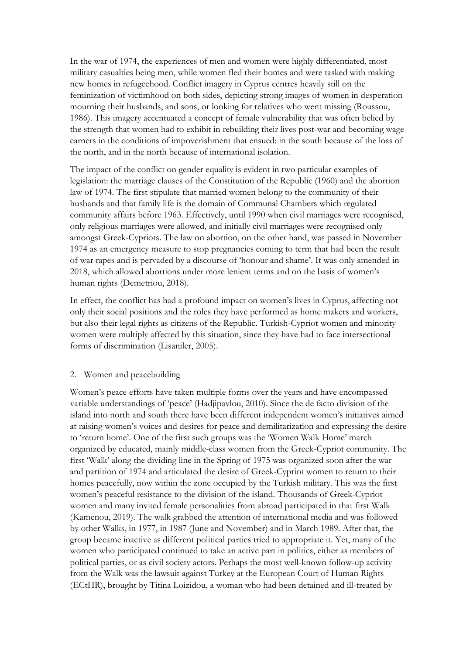In the war of 1974, the experiences of men and women were highly differentiated, most military casualties being men, while women fled their homes and were tasked with making new homes in refugeehood. Conflict imagery in Cyprus centres heavily still on the feminization of victimhood on both sides, depicting strong images of women in desperation mourning their husbands, and sons, or looking for relatives who went missing (Roussou, 1986). This imagery accentuated a concept of female vulnerability that was often belied by the strength that women had to exhibit in rebuilding their lives post-war and becoming wage earners in the conditions of impoverishment that ensued: in the south because of the loss of the north, and in the north because of international isolation.

The impact of the conflict on gender equality is evident in two particular examples of legislation: the marriage clauses of the Constitution of the Republic (1960) and the abortion law of 1974. The first stipulate that married women belong to the community of their husbands and that family life is the domain of Communal Chambers which regulated community affairs before 1963. Effectively, until 1990 when civil marriages were recognised, only religious marriages were allowed, and initially civil marriages were recognised only amongst Greek-Cypriots. The law on abortion, on the other hand, was passed in November 1974 as an emergency measure to stop pregnancies coming to term that had been the result of war rapes and is pervaded by a discourse of 'honour and shame'. It was only amended in 2018, which allowed abortions under more lenient terms and on the basis of women's human rights (Demetriou, 2018).

In effect, the conflict has had a profound impact on women's lives in Cyprus, affecting not only their social positions and the roles they have performed as home makers and workers, but also their legal rights as citizens of the Republic. Turkish-Cypriot women and minority women were multiply affected by this situation, since they have had to face intersectional forms of discrimination (Lisaniler, 2005).

## 2. Women and peacebuilding

Women's peace efforts have taken multiple forms over the years and have encompassed variable understandings of 'peace' (Hadjipavlou, 2010). Since the de facto division of the island into north and south there have been different independent women's initiatives aimed at raising women's voices and desires for peace and demilitarization and expressing the desire to 'return home'. One of the first such groups was the 'Women Walk Home' march organized by educated, mainly middle-class women from the Greek-Cypriot community. The first 'Walk' along the dividing line in the Spring of 1975 was organized soon after the war and partition of 1974 and articulated the desire of Greek-Cypriot women to return to their homes peacefully, now within the zone occupied by the Turkish military. This was the first women's peaceful resistance to the division of the island. Thousands of Greek-Cypriot women and many invited female personalities from abroad participated in that first Walk (Kamenou, 2019). The walk grabbed the attention of international media and was followed by other Walks, in 1977, in 1987 (June and November) and in March 1989. After that, the group became inactive as different political parties tried to appropriate it. Yet, many of the women who participated continued to take an active part in politics, either as members of political parties, or as civil society actors. Perhaps the most well-known follow-up activity from the Walk was the lawsuit against Turkey at the European Court of Human Rights (ECtHR), brought by Titina Loizidou, a woman who had been detained and ill-treated by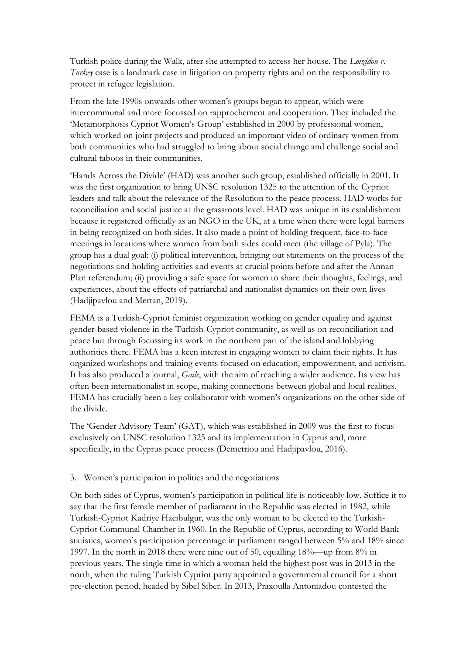Turkish police during the Walk, after she attempted to access her house. The *Loizidou v. Turkey* case is a landmark case in litigation on property rights and on the responsibility to protect in refugee legislation.

From the late 1990s onwards other women's groups began to appear, which were intercommunal and more focussed on rapprochement and cooperation. They included the 'Metamorphosis Cypriot Women's Group' established in 2000 by professional women, which worked on joint projects and produced an important video of ordinary women from both communities who had struggled to bring about social change and challenge social and cultural taboos in their communities.

'Hands Across the Divide' (HAD) was another such group, established officially in 2001. It was the first organization to bring UNSC resolution 1325 to the attention of the Cypriot leaders and talk about the relevance of the Resolution to the peace process. HAD works for reconciliation and social justice at the grassroots level. HAD was unique in its establishment because it registered officially as an NGO in the UK, at a time when there were legal barriers in being recognized on both sides. It also made a point of holding frequent, face-to-face meetings in locations where women from both sides could meet (the village of Pyla). The group has a dual goal: (i) political intervention, bringing out statements on the process of the negotiations and holding activities and events at crucial points before and after the Annan Plan referendum; (ii) providing a safe space for women to share their thoughts, feelings, and experiences, about the effects of patriarchal and nationalist dynamics on their own lives (Hadjipavlou and Mertan, 2019).

FEMA is a Turkish-Cypriot feminist organization working on gender equality and against gender-based violence in the Turkish-Cypriot community, as well as on reconciliation and peace but through focussing its work in the northern part of the island and lobbying authorities there. FEMA has a keen interest in engaging women to claim their rights. It has organized workshops and training events focused on education, empowerment, and activism. It has also produced a journal, *Gaile*, with the aim of reaching a wider audience. Its view has often been internationalist in scope, making connections between global and local realities. FEMA has crucially been a key collaborator with women's organizations on the other side of the divide.

The 'Gender Advisory Team' (GAT), which was established in 2009 was the first to focus exclusively on UNSC resolution 1325 and its implementation in Cyprus and, more specifically, in the Cyprus peace process (Demetriou and Hadjipavlou, 2016).

## 3. Women's participation in politics and the negotiations

On both sides of Cyprus, women's participation in political life is noticeably low. Suffice it to say that the first female member of parliament in the Republic was elected in 1982, while Turkish-Cypriot Kadriye Hacıbulgur, was the only woman to be elected to the Turkish-Cypriot Communal Chamber in 1960. In the Republic of Cyprus, according to World Bank statistics, women's participation percentage in parliament ranged between 5% and 18% since 1997. In the north in 2018 there were nine out of 50, equalling 18%—up from 8% in previous years. The single time in which a woman held the highest post was in 2013 in the north, when the ruling Turkish Cypriot party appointed a governmental council for a short pre-election period, headed by Sibel Siber. In 2013, Praxoulla Antoniadou contested the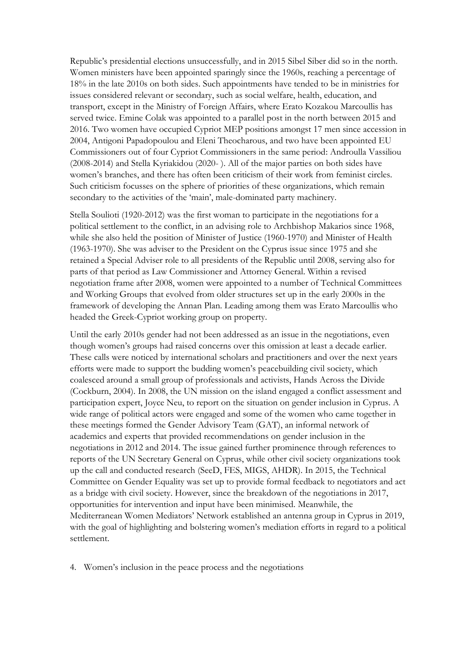Republic's presidential elections unsuccessfully, and in 2015 Sibel Siber did so in the north. Women ministers have been appointed sparingly since the 1960s, reaching a percentage of 18% in the late 2010s on both sides. Such appointments have tended to be in ministries for issues considered relevant or secondary, such as social welfare, health, education, and transport, except in the Ministry of Foreign Affairs, where Erato Kozakou Marcoullis has served twice. Emine Colak was appointed to a parallel post in the north between 2015 and 2016. Two women have occupied Cypriot MEP positions amongst 17 men since accession in 2004, Antigoni Papadopoulou and Eleni Theocharous, and two have been appointed EU Commissioners out of four Cypriot Commissioners in the same period: Androulla Vassiliou (2008-2014) and Stella Kyriakidou (2020- ). All of the major parties on both sides have women's branches, and there has often been criticism of their work from feminist circles. Such criticism focusses on the sphere of priorities of these organizations, which remain secondary to the activities of the 'main', male-dominated party machinery.

Stella Soulioti (1920-2012) was the first woman to participate in the negotiations for a political settlement to the conflict, in an advising role to Archbishop Makarios since 1968, while she also held the position of Minister of Justice (1960-1970) and Minister of Health (1963-1970). She was adviser to the President on the Cyprus issue since 1975 and she retained a Special Adviser role to all presidents of the Republic until 2008, serving also for parts of that period as Law Commissioner and Attorney General. Within a revised negotiation frame after 2008, women were appointed to a number of Technical Committees and Working Groups that evolved from older structures set up in the early 2000s in the framework of developing the Annan Plan. Leading among them was Erato Marcoullis who headed the Greek-Cypriot working group on property.

Until the early 2010s gender had not been addressed as an issue in the negotiations, even though women's groups had raised concerns over this omission at least a decade earlier. These calls were noticed by international scholars and practitioners and over the next years efforts were made to support the budding women's peacebuilding civil society, which coalesced around a small group of professionals and activists, Hands Across the Divide (Cockburn, 2004). In 2008, the UN mission on the island engaged a conflict assessment and participation expert, Joyce Neu, to report on the situation on gender inclusion in Cyprus. A wide range of political actors were engaged and some of the women who came together in these meetings formed the Gender Advisory Team (GAT), an informal network of academics and experts that provided recommendations on gender inclusion in the negotiations in 2012 and 2014. The issue gained further prominence through references to reports of the UN Secretary General on Cyprus, while other civil society organizations took up the call and conducted research (SeeD, FES, MIGS, AHDR). In 2015, the Technical Committee on Gender Equality was set up to provide formal feedback to negotiators and act as a bridge with civil society. However, since the breakdown of the negotiations in 2017, opportunities for intervention and input have been minimised. Meanwhile, the Mediterranean Women Mediators' Network established an antenna group in Cyprus in 2019, with the goal of highlighting and bolstering women's mediation efforts in regard to a political settlement.

4. Women's inclusion in the peace process and the negotiations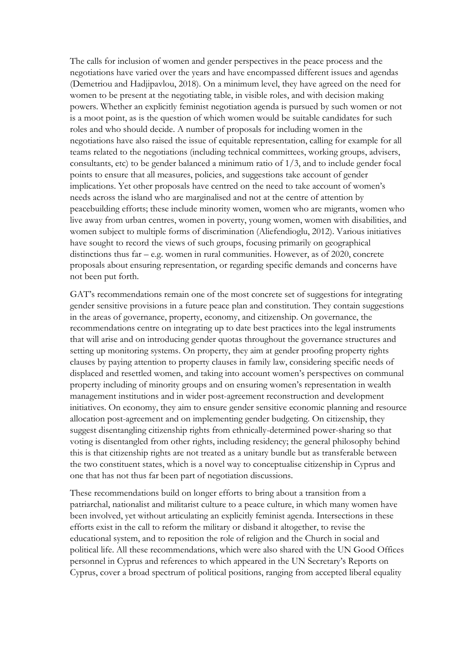The calls for inclusion of women and gender perspectives in the peace process and the negotiations have varied over the years and have encompassed different issues and agendas (Demetriou and Hadjipavlou, 2018). On a minimum level, they have agreed on the need for women to be present at the negotiating table, in visible roles, and with decision making powers. Whether an explicitly feminist negotiation agenda is pursued by such women or not is a moot point, as is the question of which women would be suitable candidates for such roles and who should decide. A number of proposals for including women in the negotiations have also raised the issue of equitable representation, calling for example for all teams related to the negotiations (including technical committees, working groups, advisers, consultants, etc) to be gender balanced a minimum ratio of 1/3, and to include gender focal points to ensure that all measures, policies, and suggestions take account of gender implications. Yet other proposals have centred on the need to take account of women's needs across the island who are marginalised and not at the centre of attention by peacebuilding efforts; these include minority women, women who are migrants, women who live away from urban centres, women in poverty, young women, women with disabilities, and women subject to multiple forms of discrimination (Aliefendioglu, 2012). Various initiatives have sought to record the views of such groups, focusing primarily on geographical distinctions thus far – e.g. women in rural communities. However, as of 2020, concrete proposals about ensuring representation, or regarding specific demands and concerns have not been put forth.

GAT's recommendations remain one of the most concrete set of suggestions for integrating gender sensitive provisions in a future peace plan and constitution. They contain suggestions in the areas of governance, property, economy, and citizenship. On governance, the recommendations centre on integrating up to date best practices into the legal instruments that will arise and on introducing gender quotas throughout the governance structures and setting up monitoring systems. On property, they aim at gender proofing property rights clauses by paying attention to property clauses in family law, considering specific needs of displaced and resettled women, and taking into account women's perspectives on communal property including of minority groups and on ensuring women's representation in wealth management institutions and in wider post-agreement reconstruction and development initiatives. On economy, they aim to ensure gender sensitive economic planning and resource allocation post-agreement and on implementing gender budgeting. On citizenship, they suggest disentangling citizenship rights from ethnically-determined power-sharing so that voting is disentangled from other rights, including residency; the general philosophy behind this is that citizenship rights are not treated as a unitary bundle but as transferable between the two constituent states, which is a novel way to conceptualise citizenship in Cyprus and one that has not thus far been part of negotiation discussions.

These recommendations build on longer efforts to bring about a transition from a patriarchal, nationalist and militarist culture to a peace culture, in which many women have been involved, yet without articulating an explicitly feminist agenda. Intersections in these efforts exist in the call to reform the military or disband it altogether, to revise the educational system, and to reposition the role of religion and the Church in social and political life. All these recommendations, which were also shared with the UN Good Offices personnel in Cyprus and references to which appeared in the UN Secretary's Reports on Cyprus, cover a broad spectrum of political positions, ranging from accepted liberal equality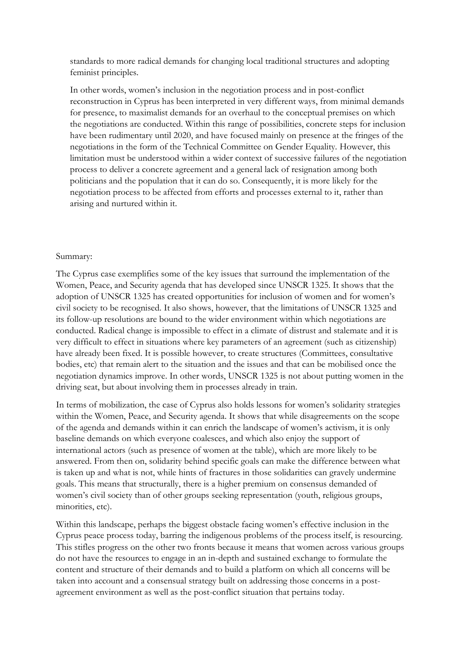standards to more radical demands for changing local traditional structures and adopting feminist principles.

In other words, women's inclusion in the negotiation process and in post-conflict reconstruction in Cyprus has been interpreted in very different ways, from minimal demands for presence, to maximalist demands for an overhaul to the conceptual premises on which the negotiations are conducted. Within this range of possibilities, concrete steps for inclusion have been rudimentary until 2020, and have focused mainly on presence at the fringes of the negotiations in the form of the Technical Committee on Gender Equality. However, this limitation must be understood within a wider context of successive failures of the negotiation process to deliver a concrete agreement and a general lack of resignation among both politicians and the population that it can do so. Consequently, it is more likely for the negotiation process to be affected from efforts and processes external to it, rather than arising and nurtured within it.

### Summary:

The Cyprus case exemplifies some of the key issues that surround the implementation of the Women, Peace, and Security agenda that has developed since UNSCR 1325. It shows that the adoption of UNSCR 1325 has created opportunities for inclusion of women and for women's civil society to be recognised. It also shows, however, that the limitations of UNSCR 1325 and its follow-up resolutions are bound to the wider environment within which negotiations are conducted. Radical change is impossible to effect in a climate of distrust and stalemate and it is very difficult to effect in situations where key parameters of an agreement (such as citizenship) have already been fixed. It is possible however, to create structures (Committees, consultative bodies, etc) that remain alert to the situation and the issues and that can be mobilised once the negotiation dynamics improve. In other words, UNSCR 1325 is not about putting women in the driving seat, but about involving them in processes already in train.

In terms of mobilization, the case of Cyprus also holds lessons for women's solidarity strategies within the Women, Peace, and Security agenda. It shows that while disagreements on the scope of the agenda and demands within it can enrich the landscape of women's activism, it is only baseline demands on which everyone coalesces, and which also enjoy the support of international actors (such as presence of women at the table), which are more likely to be answered. From then on, solidarity behind specific goals can make the difference between what is taken up and what is not, while hints of fractures in those solidarities can gravely undermine goals. This means that structurally, there is a higher premium on consensus demanded of women's civil society than of other groups seeking representation (youth, religious groups, minorities, etc).

Within this landscape, perhaps the biggest obstacle facing women's effective inclusion in the Cyprus peace process today, barring the indigenous problems of the process itself, is resourcing. This stifles progress on the other two fronts because it means that women across various groups do not have the resources to engage in an in-depth and sustained exchange to formulate the content and structure of their demands and to build a platform on which all concerns will be taken into account and a consensual strategy built on addressing those concerns in a postagreement environment as well as the post-conflict situation that pertains today.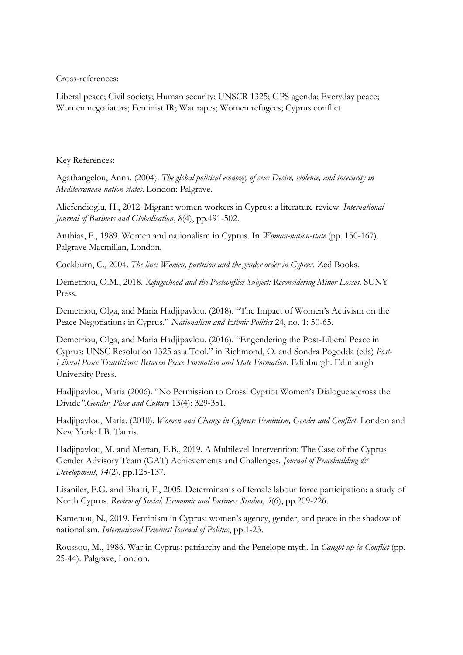Cross-references:

Liberal peace; Civil society; Human security; UNSCR 1325; GPS agenda; Everyday peace; Women negotiators; Feminist IR; War rapes; Women refugees; Cyprus conflict

#### Key References:

Agathangelou, Anna. (2004). *The global political economy of sex: Desire, violence, and insecurity in Mediterranean nation states*. London: Palgrave.

Aliefendioglu, H., 2012. Migrant women workers in Cyprus: a literature review. *International Journal of Business and Globalisation*, *8*(4), pp.491-502.

Anthias, F., 1989. Women and nationalism in Cyprus. In *Woman-nation-state* (pp. 150-167). Palgrave Macmillan, London.

Cockburn, C., 2004. *The line: Women, partition and the gender order in Cyprus*. Zed Books.

Demetriou, O.M., 2018. *Refugeehood and the Postconflict Subject: Reconsidering Minor Losses*. SUNY Press.

Demetriou, Olga, and Maria Hadjipavlou. (2018). "The Impact of Women's Activism on the Peace Negotiations in Cyprus." *Nationalism and Ethnic Politics* 24, no. 1: 50-65.

Demetriou, Olga, and Maria Hadjipavlou. (2016). "Engendering the Post-Liberal Peace in Cyprus: UNSC Resolution 1325 as a Tool." in Richmond, O. and Sondra Pogodda (eds) *Post-Liberal Peace Transitions: Between Peace Formation and State Formation*. Edinburgh: Edinburgh University Press.

Hadjipavlou, Maria (2006). "No Permission to Cross: Cypriot Women's Dialogueaqcross the Divide*".Gender, Place and Culture* 13(4): 329-351.

Hadjipavlou, Maria. (2010). *Women and Change in Cyprus: Feminism, Gender and Conflict*. London and New York: I.B. Tauris.

Hadjipavlou, M. and Mertan, E.B., 2019. A Multilevel Intervention: The Case of the Cyprus Gender Advisory Team (GAT) Achievements and Challenges. *Journal of Peacebuilding & Development*, *14*(2), pp.125-137.

Lisaniler, F.G. and Bhatti, F., 2005. Determinants of female labour force participation: a study of North Cyprus. *Review of Social, Economic and Business Studies*, *5*(6), pp.209-226.

Kamenou, N., 2019. Feminism in Cyprus: women's agency, gender, and peace in the shadow of nationalism. *International Feminist Journal of Politics*, pp.1-23.

Roussou, M., 1986. War in Cyprus: patriarchy and the Penelope myth. In *Caught up in Conflict* (pp. 25-44). Palgrave, London.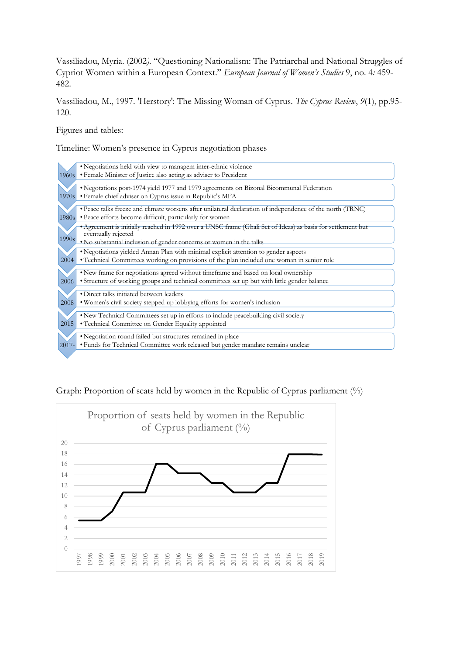Vassiliadou, Myria. (2002*).* "Questioning Nationalism: The Patriarchal and National Struggles of Cypriot Women within a European Context." *European Journal of Women's Studies* 9, no. 4*:* 459- 482.

Vassiliadou, M., 1997. 'Herstory': The Missing Woman of Cyprus. *The Cyprus Review*, *9*(1), pp.95- 120.

Figures and tables:

Timeline: Women's presence in Cyprus negotiation phases

|       | • Negotiations held with view to managem inter-ethnic violence                                                                    |  |  |  |  |  |
|-------|-----------------------------------------------------------------------------------------------------------------------------------|--|--|--|--|--|
| 1960s | · Female Minister of Justice also acting as adviser to President                                                                  |  |  |  |  |  |
|       |                                                                                                                                   |  |  |  |  |  |
|       | • Negotations post-1974 yield 1977 and 1979 agreements on Bizonal Bicommunal Federation                                           |  |  |  |  |  |
| 1970s | • Female chief adviser on Cyprus issue in Republic's MFA                                                                          |  |  |  |  |  |
|       | · Peace talks freeze and climate worsens after unilateral declaration of independence of the north (TRNC)                         |  |  |  |  |  |
| 1980s | • Peace efforts become difficult, particularly for women                                                                          |  |  |  |  |  |
|       | *Agreement is initially reached in 1992 over a UNSC frame (Ghali Set of Ideas) as basis for settlement but<br>eventually rejected |  |  |  |  |  |
| 1990s | . No substantial inclusion of gender concerns or women in the talks                                                               |  |  |  |  |  |
|       | • Negotiations yielded Annan Plan with minimal explicit attention to gender aspects                                               |  |  |  |  |  |
| 2004  | • Technical Committees working on provisions of the plan included one woman in senior role                                        |  |  |  |  |  |
|       | . New frame for negotiations agreed without timeframe and based on local ownership                                                |  |  |  |  |  |
| 2006  | · Structure of working groups and technical committees set up but with little gender balance                                      |  |  |  |  |  |
|       |                                                                                                                                   |  |  |  |  |  |
|       | • Direct talks initiated between leaders                                                                                          |  |  |  |  |  |
| 2008  | • Women's civil society stepped up lobbying efforts for women's inclusion                                                         |  |  |  |  |  |
|       | • New Technical Committees set up in efforts to include peacebuilding civil society                                               |  |  |  |  |  |
| 2015  | • Technical Committee on Gender Equality appointed                                                                                |  |  |  |  |  |
|       |                                                                                                                                   |  |  |  |  |  |
|       | • Negotiation round failed but structures remained in place                                                                       |  |  |  |  |  |
| 2017- | • Funds for Technical Committee work released but gender mandate remains unclear                                                  |  |  |  |  |  |
|       |                                                                                                                                   |  |  |  |  |  |

Graph: Proportion of seats held by women in the Republic of Cyprus parliament (%)

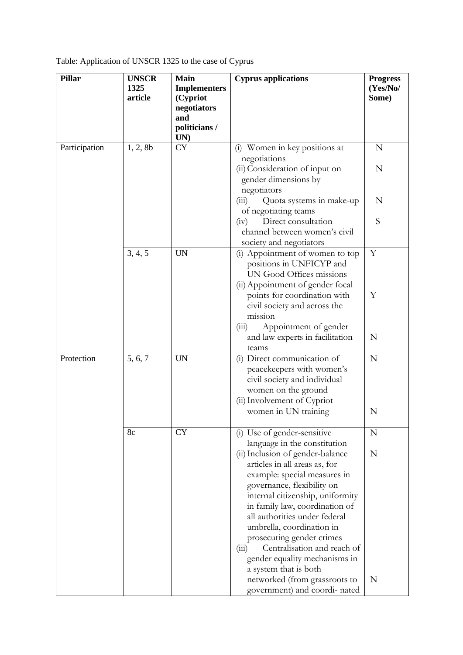|  |  | Table: Application of UNSCR 1325 to the case of Cyprus |
|--|--|--------------------------------------------------------|
|  |  |                                                        |

| <b>Pillar</b> | <b>UNSCR</b>          | <b>Main</b>          | <b>Cyprus applications</b>                                 | <b>Progress</b> |
|---------------|-----------------------|----------------------|------------------------------------------------------------|-----------------|
|               | 1325                  | <b>Implementers</b>  |                                                            | (Yes/No/        |
|               | article               | (Cypriot             |                                                            | Some)           |
|               |                       | negotiators          |                                                            |                 |
|               |                       | and<br>politicians / |                                                            |                 |
|               |                       | UN)                  |                                                            |                 |
| Participation | <b>CY</b><br>1, 2, 8b |                      | (i) Women in key positions at                              | N               |
|               |                       |                      | negotiations                                               |                 |
|               |                       |                      | (ii) Consideration of input on                             | N               |
|               |                       |                      | gender dimensions by                                       |                 |
|               |                       |                      | negotiators                                                |                 |
|               |                       |                      | Quota systems in make-up<br>(iii)                          | N               |
|               |                       |                      | of negotiating teams                                       |                 |
|               |                       |                      | Direct consultation<br>(iv)                                | S               |
|               |                       |                      | channel between women's civil                              |                 |
|               | 3, 4, 5               | <b>UN</b>            | society and negotiators<br>(i) Appointment of women to top | Y               |
|               |                       |                      | positions in UNFICYP and                                   |                 |
|               |                       |                      | UN Good Offices missions                                   |                 |
|               |                       |                      | (ii) Appointment of gender focal                           |                 |
|               |                       |                      | points for coordination with                               | Y               |
|               |                       |                      | civil society and across the                               |                 |
|               |                       |                      | mission                                                    |                 |
|               |                       |                      | Appointment of gender<br>(iii)                             |                 |
|               |                       |                      | and law experts in facilitation                            | N               |
|               |                       |                      | teams                                                      |                 |
| Protection    | 5, 6, 7               | <b>UN</b>            | (i) Direct communication of                                | N               |
|               |                       |                      | peacekeepers with women's                                  |                 |
|               |                       |                      | civil society and individual                               |                 |
|               |                       |                      | women on the ground                                        |                 |
|               |                       |                      | (ii) Involvement of Cypriot<br>women in UN training        | N               |
|               |                       |                      |                                                            |                 |
|               | 8c                    | <b>CY</b>            | (i) Use of gender-sensitive                                | N               |
|               |                       |                      | language in the constitution                               |                 |
|               |                       |                      | (ii) Inclusion of gender-balance                           | N               |
|               |                       |                      | articles in all areas as, for                              |                 |
|               |                       |                      | example: special measures in                               |                 |
|               |                       |                      | governance, flexibility on                                 |                 |
|               |                       |                      | internal citizenship, uniformity                           |                 |
|               |                       |                      | in family law, coordination of                             |                 |
|               |                       |                      | all authorities under federal                              |                 |
|               |                       |                      | umbrella, coordination in                                  |                 |
|               |                       |                      | prosecuting gender crimes<br>Centralisation and reach of   |                 |
|               |                       |                      | (111)<br>gender equality mechanisms in                     |                 |
|               |                       |                      | a system that is both                                      |                 |
|               |                       |                      | networked (from grassroots to                              | N               |
|               |                       |                      | government) and coordi- nated                              |                 |